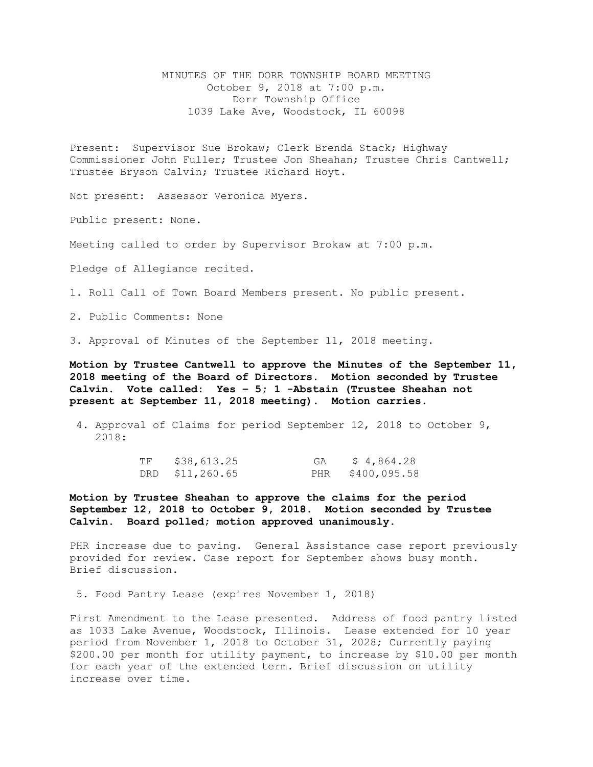MINUTES OF THE DORR TOWNSHIP BOARD MEETING October 9, 2018 at 7:00 p.m. Dorr Township Office 1039 Lake Ave, Woodstock, IL 60098

Present: Supervisor Sue Brokaw; Clerk Brenda Stack; Highway Commissioner John Fuller; Trustee Jon Sheahan; Trustee Chris Cantwell; Trustee Bryson Calvin; Trustee Richard Hoyt.

Not present: Assessor Veronica Myers.

Public present: None.

Meeting called to order by Supervisor Brokaw at 7:00 p.m.

Pledge of Allegiance recited.

1. Roll Call of Town Board Members present. No public present.

2. Public Comments: None

3. Approval of Minutes of the September 11, 2018 meeting.

**Motion by Trustee Cantwell to approve the Minutes of the September 11, 2018 meeting of the Board of Directors. Motion seconded by Trustee Calvin. Vote called: Yes – 5; 1 -Abstain (Trustee Sheahan not present at September 11, 2018 meeting). Motion carries.** 

4. Approval of Claims for period September 12, 2018 to October 9, 2018:

| ΤF | \$38,613.25     | \$4,864.28       |
|----|-----------------|------------------|
|    | DRD \$11,260.65 | PHR \$400,095.58 |

**Motion by Trustee Sheahan to approve the claims for the period September 12, 2018 to October 9, 2018. Motion seconded by Trustee Calvin. Board polled; motion approved unanimously.**

PHR increase due to paving. General Assistance case report previously provided for review. Case report for September shows busy month. Brief discussion.

5. Food Pantry Lease (expires November 1, 2018)

First Amendment to the Lease presented. Address of food pantry listed as 1033 Lake Avenue, Woodstock, Illinois. Lease extended for 10 year period from November 1, 2018 to October 31, 2028; Currently paying \$200.00 per month for utility payment, to increase by \$10.00 per month for each year of the extended term. Brief discussion on utility increase over time.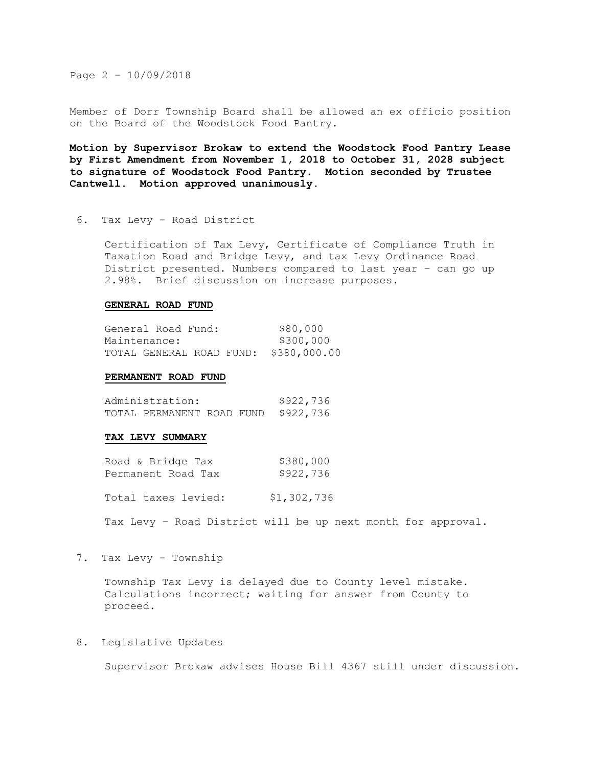Page 2 – 10/09/2018

Member of Dorr Township Board shall be allowed an ex officio position on the Board of the Woodstock Food Pantry.

**Motion by Supervisor Brokaw to extend the Woodstock Food Pantry Lease by First Amendment from November 1, 2018 to October 31, 2028 subject to signature of Woodstock Food Pantry. Motion seconded by Trustee Cantwell. Motion approved unanimously.** 

6. Tax Levy – Road District

Certification of Tax Levy, Certificate of Compliance Truth in Taxation Road and Bridge Levy, and tax Levy Ordinance Road District presented. Numbers compared to last year – can go up 2.98%. Brief discussion on increase purposes.

## **GENERAL ROAD FUND**

| General Road Fund: |  | \$80,000                              |
|--------------------|--|---------------------------------------|
| Maintenance:       |  | \$300,000                             |
|                    |  | TOTAL GENERAL ROAD FUND: \$380,000.00 |

## **PERMANENT ROAD FUND**

| Administration: | \$922,736                           |  |  |  |
|-----------------|-------------------------------------|--|--|--|
|                 | TOTAL PERMANENT ROAD FUND \$922,736 |  |  |  |

## **TAX LEVY SUMMARY**

| Road & Bridge Tax  | \$380,000 |
|--------------------|-----------|
| Permanent Road Tax | \$922,736 |

Total taxes levied: \$1,302,736

Tax Levy – Road District will be up next month for approval.

7. Tax Levy – Township

Township Tax Levy is delayed due to County level mistake. Calculations incorrect; waiting for answer from County to proceed.

## 8. Legislative Updates

Supervisor Brokaw advises House Bill 4367 still under discussion.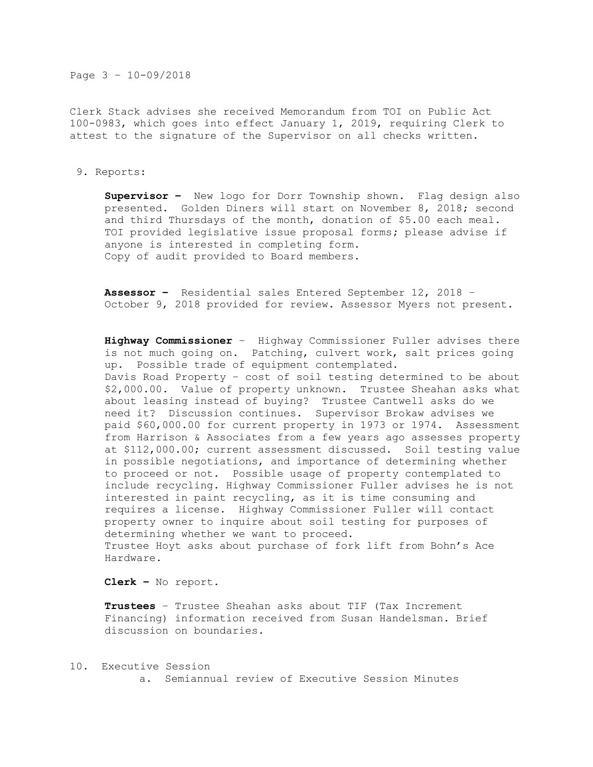Page 3 – 10-09/2018

Clerk Stack advises she received Memorandum from TOI on Public Act 100-0983, which goes into effect January 1, 2019, requiring Clerk to attest to the signature of the Supervisor on all checks written.

9. Reports:

**Supervisor –** New logo for Dorr Township shown. Flag design also presented. Golden Diners will start on November 8, 2018; second and third Thursdays of the month, donation of \$5.00 each meal. TOI provided legislative issue proposal forms**;** please advise if anyone is interested in completing form. Copy of audit provided to Board members.

**Assessor –** Residential sales Entered September 12, 2018 – October 9, 2018 provided for review. Assessor Myers not present.

**Highway Commissioner** – Highway Commissioner Fuller advises there is not much going on. Patching, culvert work, salt prices going up. Possible trade of equipment contemplated. Davis Road Property – cost of soil testing determined to be about \$2,000.00. Value of property unknown. Trustee Sheahan asks what about leasing instead of buying? Trustee Cantwell asks do we need it? Discussion continues. Supervisor Brokaw advises we paid \$60,000.00 for current property in 1973 or 1974. Assessment from Harrison & Associates from a few years ago assesses property at \$112,000.00; current assessment discussed. Soil testing value in possible negotiations, and importance of determining whether to proceed or not. Possible usage of property contemplated to include recycling. Highway Commissioner Fuller advises he is not interested in paint recycling, as it is time consuming and requires a license. Highway Commissioner Fuller will contact property owner to inquire about soil testing for purposes of determining whether we want to proceed. Trustee Hoyt asks about purchase of fork lift from Bohn's Ace Hardware.

**Clerk –** No report**.** 

**Trustees** – Trustee Sheahan asks about TIF (Tax Increment Financing) information received from Susan Handelsman. Brief discussion on boundaries.

10. Executive Session

a. Semiannual review of Executive Session Minutes